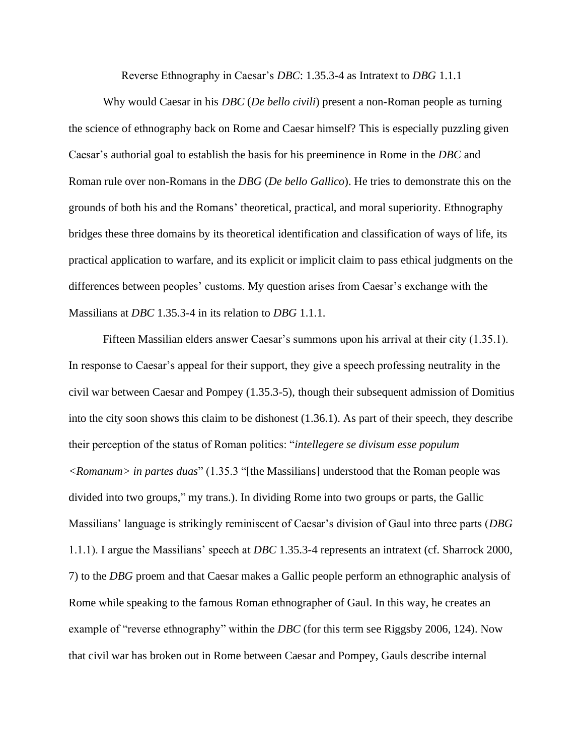Reverse Ethnography in Caesar's *DBC*: 1.35.3-4 as Intratext to *DBG* 1.1.1

Why would Caesar in his *DBC* (*De bello civili*) present a non-Roman people as turning the science of ethnography back on Rome and Caesar himself? This is especially puzzling given Caesar's authorial goal to establish the basis for his preeminence in Rome in the *DBC* and Roman rule over non-Romans in the *DBG* (*De bello Gallico*). He tries to demonstrate this on the grounds of both his and the Romans' theoretical, practical, and moral superiority. Ethnography bridges these three domains by its theoretical identification and classification of ways of life, its practical application to warfare, and its explicit or implicit claim to pass ethical judgments on the differences between peoples' customs. My question arises from Caesar's exchange with the Massilians at *DBC* 1.35.3-4 in its relation to *DBG* 1.1.1.

Fifteen Massilian elders answer Caesar's summons upon his arrival at their city (1.35.1). In response to Caesar's appeal for their support, they give a speech professing neutrality in the civil war between Caesar and Pompey (1.35.3-5), though their subsequent admission of Domitius into the city soon shows this claim to be dishonest (1.36.1). As part of their speech, they describe their perception of the status of Roman politics: "*intellegere se divisum esse populum <Romanum> in partes duas*" (1.35.3 "[the Massilians] understood that the Roman people was divided into two groups," my trans.). In dividing Rome into two groups or parts, the Gallic Massilians' language is strikingly reminiscent of Caesar's division of Gaul into three parts (*DBG*  1.1.1). I argue the Massilians' speech at *DBC* 1.35.3-4 represents an intratext (cf. Sharrock 2000, 7) to the *DBG* proem and that Caesar makes a Gallic people perform an ethnographic analysis of Rome while speaking to the famous Roman ethnographer of Gaul. In this way, he creates an example of "reverse ethnography" within the *DBC* (for this term see Riggsby 2006, 124). Now that civil war has broken out in Rome between Caesar and Pompey, Gauls describe internal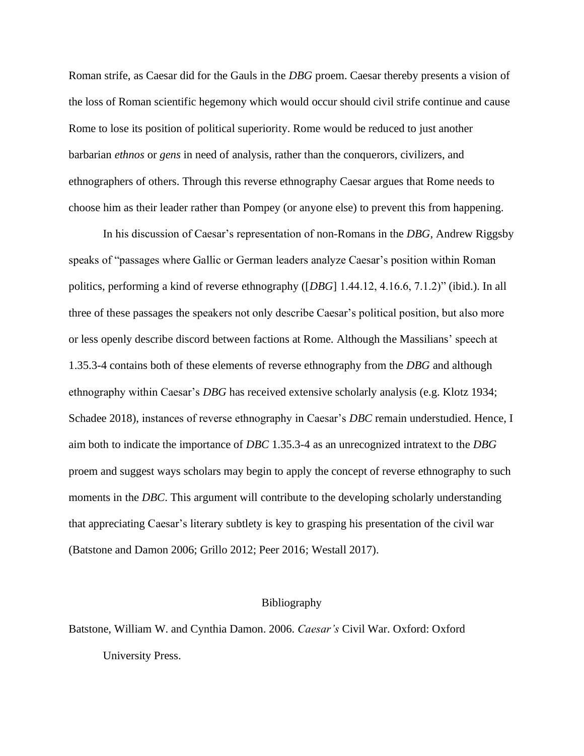Roman strife, as Caesar did for the Gauls in the *DBG* proem. Caesar thereby presents a vision of the loss of Roman scientific hegemony which would occur should civil strife continue and cause Rome to lose its position of political superiority. Rome would be reduced to just another barbarian *ethnos* or *gens* in need of analysis, rather than the conquerors, civilizers, and ethnographers of others. Through this reverse ethnography Caesar argues that Rome needs to choose him as their leader rather than Pompey (or anyone else) to prevent this from happening.

In his discussion of Caesar's representation of non-Romans in the *DBG*, Andrew Riggsby speaks of "passages where Gallic or German leaders analyze Caesar's position within Roman politics, performing a kind of reverse ethnography ([*DBG*] 1.44.12, 4.16.6, 7.1.2)" (ibid.). In all three of these passages the speakers not only describe Caesar's political position, but also more or less openly describe discord between factions at Rome. Although the Massilians' speech at 1.35.3-4 contains both of these elements of reverse ethnography from the *DBG* and although ethnography within Caesar's *DBG* has received extensive scholarly analysis (e.g. Klotz 1934; Schadee 2018), instances of reverse ethnography in Caesar's *DBC* remain understudied. Hence, I aim both to indicate the importance of *DBC* 1.35.3-4 as an unrecognized intratext to the *DBG*  proem and suggest ways scholars may begin to apply the concept of reverse ethnography to such moments in the *DBC*. This argument will contribute to the developing scholarly understanding that appreciating Caesar's literary subtlety is key to grasping his presentation of the civil war (Batstone and Damon 2006; Grillo 2012; Peer 2016; Westall 2017).

## Bibliography

Batstone, William W. and Cynthia Damon. 2006. *Caesar's* Civil War. Oxford: Oxford University Press.